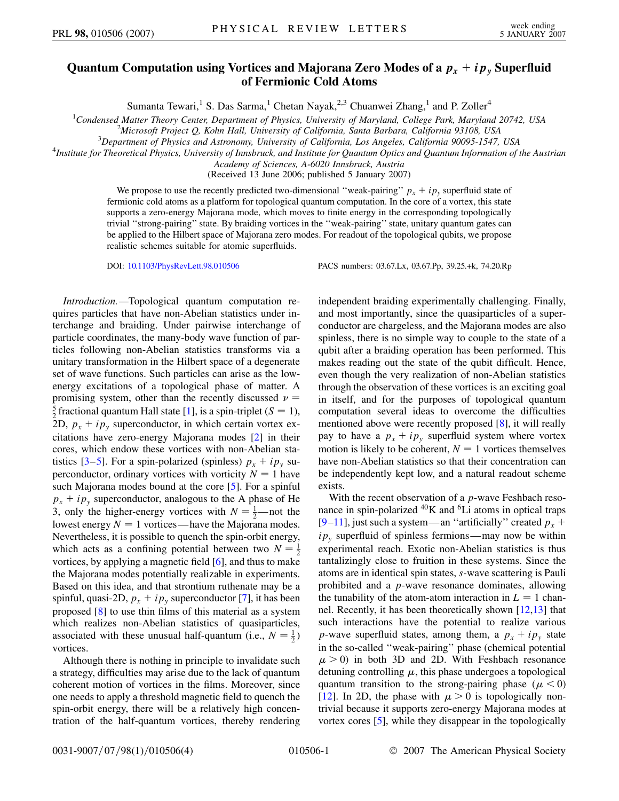## Quantum Computation using Vortices and Majorana Zero Modes of a  $p_x + i p_y$  Superfluid **of Fermionic Cold Atoms**

Sumanta Tewari,<sup>1</sup> S. Das Sarma,<sup>1</sup> Chetan Nayak,<sup>2,3</sup> Chuanwei Zhang,<sup>1</sup> and P. Zoller<sup>4</sup>

<sup>1</sup>Condensed Matter Theory Center, Department of Physics, University of Maryland, College Park, Maryland 20742, USA<br><sup>2</sup>Microsoft Project O. Kohn Hall, University of California, Santa Barbara, California 03108, USA

<sup>2</sup>Microsoft Project Q, Kohn Hall, University of California, Santa Barbara, California 93108, USA

<sup>3</sup>Department of Physics and Astronomy, University of California, Los Angeles, California 90095-1547, USA

*Institute for Theoretical Physics, University of Innsbruck, and Institute for Quantum Optics and Quantum Information of the Austrian*

*Academy of Sciences, A-6020 Innsbruck, Austria* (Received 13 June 2006; published 5 January 2007)

We propose to use the recently predicted two-dimensional "weak-pairing"  $p_x + ip_y$  superfluid state of fermionic cold atoms as a platform for topological quantum computation. In the core of a vortex, this state supports a zero-energy Majorana mode, which moves to finite energy in the corresponding topologically trivial ''strong-pairing'' state. By braiding vortices in the ''weak-pairing'' state, unitary quantum gates can be applied to the Hilbert space of Majorana zero modes. For readout of the topological qubits, we propose realistic schemes suitable for atomic superfluids.

DOI: [10.1103/PhysRevLett.98.010506](http://dx.doi.org/10.1103/PhysRevLett.98.010506) PACS numbers: 03.67.Lx, 03.67.Pp, 39.25.+k, 74.20.Rp

*Introduction.—*Topological quantum computation requires particles that have non-Abelian statistics under interchange and braiding. Under pairwise interchange of particle coordinates, the many-body wave function of particles following non-Abelian statistics transforms via a unitary transformation in the Hilbert space of a degenerate set of wave functions. Such particles can arise as the lowenergy excitations of a topological phase of matter. A promising system, other than the recently discussed  $\nu =$  $\frac{5}{2}$  fractional quantum Hall state [\[1](#page-3-0)], is a spin-triplet (*S* = 1), 2D,  $p_x + ip_y$  superconductor, in which certain vortex excitations have zero-energy Majorana modes [\[2\]](#page-3-1) in their cores, which endow these vortices with non-Abelian sta-tistics [\[3](#page-3-2)–[5\]](#page-3-3). For a spin-polarized (spinless)  $p_x + ip_y$  superconductor, ordinary vortices with vorticity  $N = 1$  have such Majorana modes bound at the core [\[5\]](#page-3-3). For a spinful  $p_x + ip_y$  superconductor, analogous to the A phase of He 3, only the higher-energy vortices with  $N = \frac{1}{2}$ —not the lowest energy  $N = 1$  vortices—have the Majorana modes. Nevertheless, it is possible to quench the spin-orbit energy, which acts as a confining potential between two  $N = \frac{1}{2}$ vortices, by applying a magnetic field [\[6\]](#page-3-4), and thus to make the Majorana modes potentially realizable in experiments. Based on this idea, and that strontium ruthenate may be a spinful, quasi-2D,  $p_x + ip_y$  superconductor [\[7\]](#page-3-5), it has been proposed [[8](#page-3-6)] to use thin films of this material as a system which realizes non-Abelian statistics of quasiparticles, associated with these unusual half-quantum (i.e.,  $N = \frac{1}{2}$ ) vortices.

Although there is nothing in principle to invalidate such a strategy, difficulties may arise due to the lack of quantum coherent motion of vortices in the films. Moreover, since one needs to apply a threshold magnetic field to quench the spin-orbit energy, there will be a relatively high concentration of the half-quantum vortices, thereby rendering independent braiding experimentally challenging. Finally, and most importantly, since the quasiparticles of a superconductor are chargeless, and the Majorana modes are also spinless, there is no simple way to couple to the state of a qubit after a braiding operation has been performed. This makes reading out the state of the qubit difficult. Hence, even though the very realization of non-Abelian statistics through the observation of these vortices is an exciting goal in itself, and for the purposes of topological quantum computation several ideas to overcome the difficulties mentioned above were recently proposed [\[8](#page-3-6)], it will really pay to have a  $p_x + ip_y$  superfluid system where vortex motion is likely to be coherent,  $N = 1$  vortices themselves have non-Abelian statistics so that their concentration can be independently kept low, and a natural readout scheme exists.

With the recent observation of a *p*-wave Feshbach resonance in spin-polarized  ${}^{40}$ K and  ${}^{6}$ Li atoms in optical traps  $[9-11]$  $[9-11]$  $[9-11]$  $[9-11]$ , just such a system—an "artificially" created  $p_x$  +  $ip_{y}$  superfluid of spinless fermions—may now be within experimental reach. Exotic non-Abelian statistics is thus tantalizingly close to fruition in these systems. Since the atoms are in identical spin states, *s*-wave scattering is Pauli prohibited and a *p*-wave resonance dominates, allowing the tunability of the atom-atom interaction in  $L = 1$  channel. Recently, it has been theoretically shown [\[12,](#page-3-9)[13\]](#page-3-10) that such interactions have the potential to realize various *p*-wave superfluid states, among them, a  $p_x + ip_y$  state in the so-called ''weak-pairing'' phase (chemical potential  $\mu$  > 0) in both 3D and 2D. With Feshbach resonance detuning controlling  $\mu$ , this phase undergoes a topological quantum transition to the strong-pairing phase  $(\mu < 0)$ [\[12\]](#page-3-9). In 2D, the phase with  $\mu > 0$  is topologically nontrivial because it supports zero-energy Majorana modes at vortex cores [\[5](#page-3-3)], while they disappear in the topologically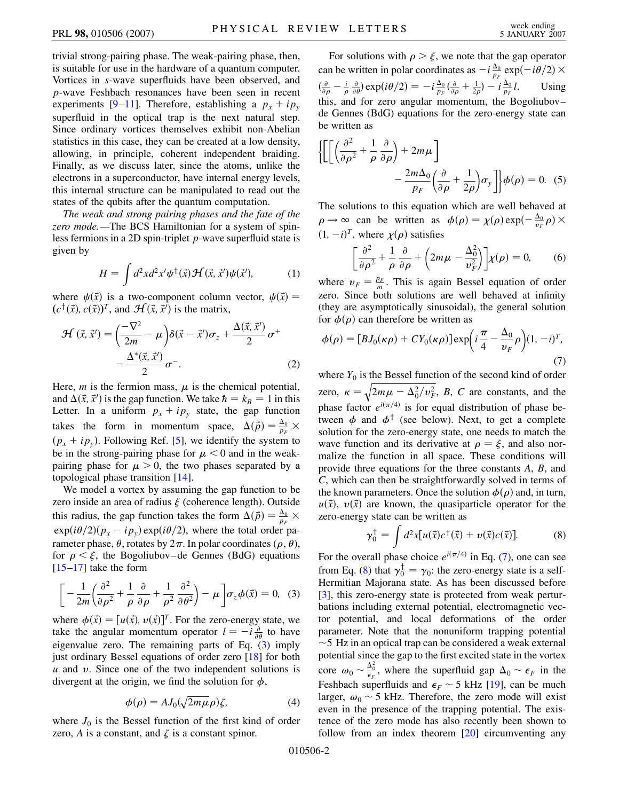trivial strong-pairing phase. The weak-pairing phase, then, is suitable for use in the hardware of a quantum computer. Vortices in *s*-wave superfluids have been observed, and *p*-wave Feshbach resonances have been seen in recent experiments [[9](#page-3-7)[–11\]](#page-3-8). Therefore, establishing a  $p_x + ip_y$ superfluid in the optical trap is the next natural step. Since ordinary vortices themselves exhibit non-Abelian statistics in this case, they can be created at a low density, allowing, in principle, coherent independent braiding. Finally, as we discuss later, since the atoms, unlike the electrons in a superconductor, have internal energy levels, this internal structure can be manipulated to read out the states of the qubits after the quantum computation.

*The weak and strong pairing phases and the fate of the zero mode.—*The BCS Hamiltonian for a system of spinless fermions in a 2D spin-triplet *p*-wave superfluid state is given by

$$
H = \int d^2x d^2x' \psi^{\dagger}(\vec{x}) \mathcal{H}(\vec{x}, \vec{x}') \psi(\vec{x}'), \tag{1}
$$

where  $\psi(\vec{x})$  is a two-component column vector,  $\psi(\vec{x}) =$  $(c^{\dagger}(\vec{x}), c(\vec{x}))^T$ , and  $\mathcal{H}(\vec{x}, \vec{x}')$  is the matrix,

$$
\mathcal{H}\left(\vec{x},\vec{x}'\right) = \left(\frac{-\nabla^2}{2m} - \mu\right)\delta(\vec{x} - \vec{x}')\sigma_z + \frac{\Delta(\vec{x},\vec{x}')}{2}\sigma^+ - \frac{\Delta^*(\vec{x},\vec{x}')}{2}\sigma^-. \tag{2}
$$

Here,  $m$  is the fermion mass,  $\mu$  is the chemical potential, and  $\Delta(\vec{x}, \vec{x}')$  is the gap function. We take  $\hbar = k_B = 1$  in this Letter. In a uniform  $p_x + ip_y$  state, the gap function takes the form in momentum space,  $\Delta(\vec{p}) = \frac{\Delta_0}{p_F} \times$  $(p_x + ip_y)$ . Following Ref. [[5\]](#page-3-3), we identify the system to be in the strong-pairing phase for  $\mu < 0$  and in the weakpairing phase for  $\mu > 0$ , the two phases separated by a topological phase transition [\[14\]](#page-3-11).

We model a vortex by assuming the gap function to be zero inside an area of radius  $\xi$  (coherence length). Outside this radius, the gap function takes the form  $\Delta(\vec{p}) = \frac{\Delta_0}{p_F} \times$  $\exp(i\theta/2)(p_x - ip_y)\exp(i\theta/2)$ , where the total order parameter phase,  $\theta$ , rotates by  $2\pi$ . In polar coordinates ( $\rho$ ,  $\theta$ ), for  $\rho < \xi$ , the Bogoliubov–de Gennes (BdG) equations  $[15–17]$  $[15–17]$  $[15–17]$  $[15–17]$  take the form

<span id="page-1-0"></span>
$$
\[ -\frac{1}{2m} \left( \frac{\partial^2}{\partial \rho^2} + \frac{1}{\rho} \frac{\partial}{\partial \rho} + \frac{1}{\rho^2} \frac{\partial^2}{\partial \theta^2} \right) - \mu \] \sigma_z \phi(\vec{x}) = 0, \quad (3)
$$

where  $\phi(\vec{x}) = [u(\vec{x}), v(\vec{x})]^T$ . For the zero-energy state, we take the angular momentum operator  $l = -i \frac{\partial}{\partial \theta}$  to have eigenvalue zero. The remaining parts of Eq. ([3\)](#page-1-0) imply just ordinary Bessel equations of order zero [[18](#page-3-14)] for both *u* and *v*. Since one of the two independent solutions is divergent at the origin, we find the solution for  $\phi$ ,

$$
\phi(\rho) = AJ_0(\sqrt{2m\mu}\rho)\zeta,\tag{4}
$$

where  $J_0$  is the Bessel function of the first kind of order zero,  $A$  is a constant, and  $\zeta$  is a constant spinor.

For solutions with  $\rho > \xi$ , we note that the gap operator can be written in polar coordinates as  $-i\frac{\Delta_0}{p_F} \exp(-i\theta/2) \times$  $\left(\frac{\partial}{\partial \rho} - \frac{i}{\rho} \frac{\partial}{\partial \theta}\right) \exp(i\theta/2) = -i \frac{\Delta_0}{p_F} \left(\frac{\partial}{\partial \rho} + \frac{1}{2\rho}\right) - i \frac{\Delta_0}{p_F} l.$  Using this, and for zero angular momentum, the Bogoliubov– de Gennes (BdG) equations for the zero-energy state can be written as

$$
\left\{ \left[ \left[ \left( \frac{\partial^2}{\partial \rho^2} + \frac{1}{\rho} \frac{\partial}{\partial \rho} \right) + 2m\mu \right] - \frac{2m\Delta_0}{p_F} \left( \frac{\partial}{\partial \rho} + \frac{1}{2\rho} \right) \sigma_y \right] \right\} \phi(\rho) = 0. \quad (5)
$$

The solutions to this equation which are well behaved at  $\rho \rightarrow \infty$  can be written as  $\phi(\rho) = \chi(\rho) \exp(-\frac{\Delta_0}{v_F} \rho) \times$  $(1, -i)^T$ , where  $\chi(\rho)$  satisfies

<span id="page-1-3"></span>
$$
\left[\frac{\partial^2}{\partial \rho^2} + \frac{1}{\rho} \frac{\partial}{\partial \rho} + \left(2m\mu - \frac{\Delta_0^2}{v_F^2}\right)\right] \chi(\rho) = 0, \qquad (6)
$$

where  $v_F = \frac{p_F}{m}$ . This is again Bessel equation of order zero. Since both solutions are well behaved at infinity (they are asymptotically sinusoidal), the general solution for  $\phi(\rho)$  can therefore be written as

<span id="page-1-1"></span>
$$
\phi(\rho) = [BJ_0(\kappa \rho) + CY_0(\kappa \rho)] \exp\left(i\frac{\pi}{4} - \frac{\Delta_0}{v_F}\rho\right) (1, -i)^T,
$$
\n(7)

where  $Y_0$  is the Bessel function of the second kind of order zero,  $\kappa = \sqrt{2m\mu - \Delta_0^2/v_F^2}$  $2m\mu - \Delta_0^2/v_F^2$  $\frac{1}{\sqrt{2}}$ , *B*, *C* are constants, and the phase factor  $e^{i(\pi/4)}$  is for equal distribution of phase between  $\phi$  and  $\phi^{\dagger}$  (see below). Next, to get a complete solution for the zero-energy state, one needs to match the wave function and its derivative at  $\rho = \xi$ , and also normalize the function in all space. These conditions will provide three equations for the three constants *A*, *B*, and *C*, which can then be straightforwardly solved in terms of the known parameters. Once the solution  $\phi(\rho)$  and, in turn,  $u(\vec{x})$ ,  $v(\vec{x})$  are known, the quasiparticle operator for the zero-energy state can be written as

$$
\gamma_0^{\dagger} = \int d^2x [u(\vec{x})c^{\dagger}(\vec{x}) + v(\vec{x})c(\vec{x})]. \tag{8}
$$

<span id="page-1-2"></span>For the overall phase choice  $e^{i(\pi/4)}$  in Eq. ([7](#page-1-1)), one can see from Eq. [\(8](#page-1-2)) that  $\gamma_0^{\dagger} = \gamma_0$ : the zero-energy state is a self-Hermitian Majorana state. As has been discussed before [\[3\]](#page-3-2), this zero-energy state is protected from weak perturbations including external potential, electromagnetic vector potential, and local deformations of the order parameter. Note that the nonuniform trapping potential  $\sim$  5 Hz in an optical trap can be considered a weak external potential since the gap to the first excited state in the vortex core  $\omega_0 \sim \frac{\Delta_0^2}{\epsilon_F}$ , where the superfluid gap  $\Delta_0 \sim \epsilon_F$  in the Feshbach superfluids and  $\epsilon_F \sim 5$  kHz [\[19\]](#page-3-15), can be much larger,  $\omega_0 \sim 5$  kHz. Therefore, the zero mode will exist even in the presence of the trapping potential. The existence of the zero mode has also recently been shown to follow from an index theorem [[20](#page-3-16)] circumventing any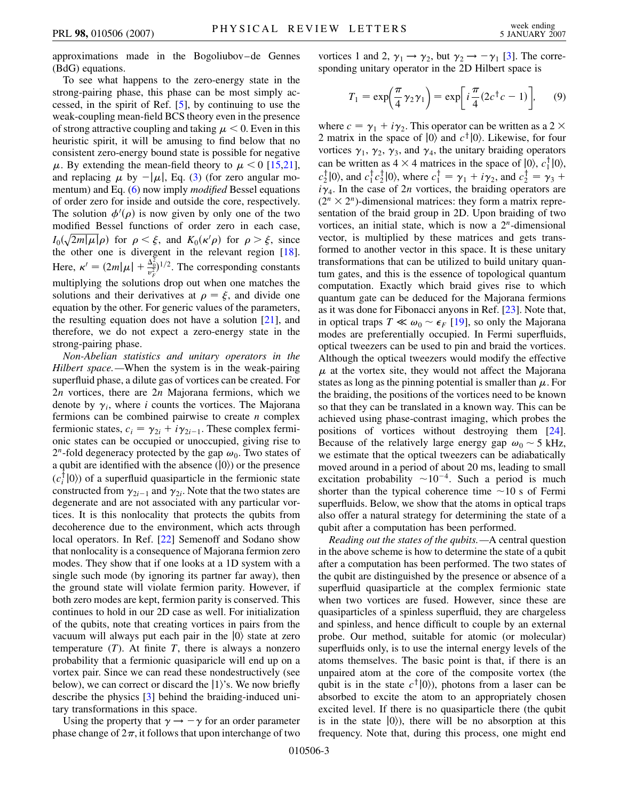approximations made in the Bogoliubov–de Gennes (BdG) equations.

To see what happens to the zero-energy state in the strong-pairing phase, this phase can be most simply accessed, in the spirit of Ref. [[5](#page-3-3)], by continuing to use the weak-coupling mean-field BCS theory even in the presence of strong attractive coupling and taking  $\mu < 0$ . Even in this heuristic spirit, it will be amusing to find below that no consistent zero-energy bound state is possible for negative  $\mu$ . By extending the mean-field theory to  $\mu < 0$  [\[15](#page-3-12)[,21\]](#page-3-17), and replacing  $\mu$  by  $-|\mu|$ , Eq. ([3](#page-1-0)) (for zero angular momentum) and Eq. [\(6](#page-1-3)) now imply *modified* Bessel equations of order zero for inside and outside the core, respectively. The solution  $\phi'(\rho)$  is now given by only one of the two modified Bessel functions of order zero in each case,  $I_0(\sqrt{2m|\mu|}\rho)$  for  $\rho < \xi$ , and  $K_0(\kappa'\rho)$  for  $\rho > \xi$ , since the other one is divergent in the relevant region [\[18\]](#page-3-14). Here,  $\kappa' = (2m|\mu| + \frac{\Delta_0^2}{v_F^2})^{1/2}$ . The corresponding constants multiplying the solutions drop out when one matches the solutions and their derivatives at  $\rho = \xi$ , and divide one equation by the other. For generic values of the parameters, the resulting equation does not have a solution  $[21]$  $[21]$  $[21]$ , and therefore, we do not expect a zero-energy state in the strong-pairing phase.

*Non-Abelian statistics and unitary operators in the Hilbert space.—*When the system is in the weak-pairing superfluid phase, a dilute gas of vortices can be created. For 2*n* vortices, there are 2*n* Majorana fermions, which we denote by  $\gamma_i$ , where *i* counts the vortices. The Majorana fermions can be combined pairwise to create *n* complex fermionic states,  $c_i = \gamma_{2i} + i\gamma_{2i-1}$ . These complex fermionic states can be occupied or unoccupied, giving rise to  $2^n$ -fold degeneracy protected by the gap  $\omega_0$ . Two states of a qubit are identified with the absence  $(|0\rangle)$  or the presence  $(c_i^{\dagger} | 0 \rangle)$  of a superfluid quasiparticle in the fermionic state constructed from  $\gamma_{2i-1}$  and  $\gamma_{2i}$ . Note that the two states are degenerate and are not associated with any particular vortices. It is this nonlocality that protects the qubits from decoherence due to the environment, which acts through local operators. In Ref. [\[22\]](#page-3-18) Semenoff and Sodano show that nonlocality is a consequence of Majorana fermion zero modes. They show that if one looks at a 1D system with a single such mode (by ignoring its partner far away), then the ground state will violate fermion parity. However, if both zero modes are kept, fermion parity is conserved. This continues to hold in our 2D case as well. For initialization of the qubits, note that creating vortices in pairs from the vacuum will always put each pair in the  $|0\rangle$  state at zero temperature  $(T)$ . At finite  $T$ , there is always a nonzero probability that a fermionic quasiparicle will end up on a vortex pair. Since we can read these nondestructively (see below), we can correct or discard the  $|1\rangle$ 's. We now briefly describe the physics [[3](#page-3-2)] behind the braiding-induced unitary transformations in this space.

Using the property that  $\gamma \rightarrow -\gamma$  for an order parameter phase change of  $2\pi$ , it follows that upon interchange of two vortices 1 and 2,  $\gamma_1 \rightarrow \gamma_2$ , but  $\gamma_2 \rightarrow -\gamma_1$  [\[3](#page-3-2)]. The corresponding unitary operator in the 2D Hilbert space is

$$
T_1 = \exp\left(\frac{\pi}{4}\gamma_2\gamma_1\right) = \exp\left[i\frac{\pi}{4}(2c^\dagger c - 1)\right],\qquad(9)
$$

where  $c = \gamma_1 + i\gamma_2$ . This operator can be written as a 2  $\times$ 2 matrix in the space of  $|0\rangle$  and  $c^{\dagger} |0\rangle$ . Likewise, for four vortices  $\gamma_1$ ,  $\gamma_2$ ,  $\gamma_3$ , and  $\gamma_4$ , the unitary braiding operators can be written as  $4 \times 4$  matrices in the space of  $|0\rangle$ ,  $c_1^{\dagger} |0\rangle$ ,  $c_2^{\dagger}$  (0), and  $c_1^{\dagger} c_2^{\dagger}$  (0), where  $c_1^{\dagger} = \gamma_1 + i\gamma_2$ , and  $c_2^{\dagger} = \gamma_3 + i\gamma_4$  $i\gamma_4$ . In the case of 2*n* vortices, the braiding operators are  $(2^n \times 2^n)$ -dimensional matrices: they form a matrix representation of the braid group in 2D. Upon braiding of two vortices, an initial state, which is now a 2*n*-dimensional vector, is multiplied by these matrices and gets transformed to another vector in this space. It is these unitary transformations that can be utilized to build unitary quantum gates, and this is the essence of topological quantum computation. Exactly which braid gives rise to which quantum gate can be deduced for the Majorana fermions as it was done for Fibonacci anyons in Ref. [[23](#page-3-19)]. Note that, in optical traps  $T \ll \omega_0 \sim \epsilon_F$  [\[19](#page-3-15)], so only the Majorana modes are preferentially occupied. In Fermi superfluids, optical tweezers can be used to pin and braid the vortices. Although the optical tweezers would modify the effective  $\mu$  at the vortex site, they would not affect the Majorana states as long as the pinning potential is smaller than  $\mu$ . For the braiding, the positions of the vortices need to be known so that they can be translated in a known way. This can be achieved using phase-contrast imaging, which probes the positions of vortices without destroying them [[24\]](#page-3-20). Because of the relatively large energy gap  $\omega_0 \sim 5$  kHz, we estimate that the optical tweezers can be adiabatically moved around in a period of about 20 ms, leading to small excitation probability  $\sim 10^{-4}$ . Such a period is much shorter than the typical coherence time  $\sim 10$  s of Fermi superfluids. Below, we show that the atoms in optical traps also offer a natural strategy for determining the state of a qubit after a computation has been performed.

*Reading out the states of the qubits.—*A central question in the above scheme is how to determine the state of a qubit after a computation has been performed. The two states of the qubit are distinguished by the presence or absence of a superfluid quasiparticle at the complex fermionic state when two vortices are fused. However, since these are quasiparticles of a spinless superfluid, they are chargeless and spinless, and hence difficult to couple by an external probe. Our method, suitable for atomic (or molecular) superfluids only, is to use the internal energy levels of the atoms themselves. The basic point is that, if there is an unpaired atom at the core of the composite vortex (the qubit is in the state  $c^{\dagger} |0\rangle$ ), photons from a laser can be absorbed to excite the atom to an appropriately chosen excited level. If there is no quasiparticle there (the qubit is in the state  $|0\rangle$ ), there will be no absorption at this frequency. Note that, during this process, one might end